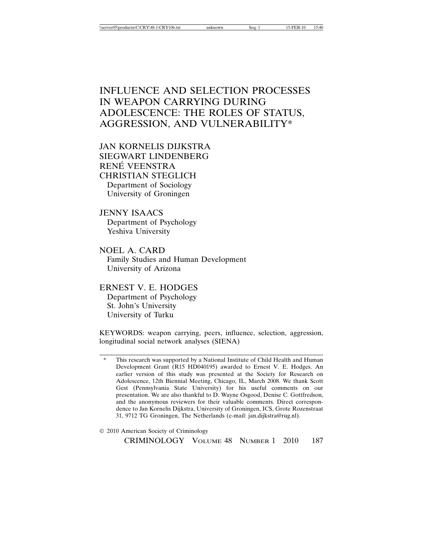# INFLUENCE AND SELECTION PROCESSES IN WEAPON CARRYING DURING ADOLESCENCE: THE ROLES OF STATUS, AGGRESSION, AND VULNERABILITY\*

JAN KORNELIS DIJKSTRA SIEGWART LINDENBERG RENÉ VEENSTRA CHRISTIAN STEGLICH Department of Sociology University of Groningen

JENNY ISAACS Department of Psychology Yeshiva University

NOEL A. CARD Family Studies and Human Development University of Arizona

# ERNEST V. E. HODGES

Department of Psychology St. John's University University of Turku

KEYWORDS: weapon carrying, peers, influence, selection, aggression, longitudinal social network analyses (SIENA)

2010 American Society of Criminology

CRIMINOLOGY VOLUME 48 NUMBER 1 2010 187

This research was supported by a National Institute of Child Health and Human Development Grant (R15 HD040195) awarded to Ernest V. E. Hodges. An earlier version of this study was presented at the Society for Research on Adolescence, 12th Biennial Meeting, Chicago, IL, March 2008. We thank Scott Gest (Pennsylvania State University) for his useful comments on our presentation. We are also thankful to D. Wayne Osgood, Denise C. Gottfredson, and the anonymous reviewers for their valuable comments. Direct correspondence to Jan Kornelis Dijkstra, University of Groningen, ICS, Grote Rozenstraat 31, 9712 TG Groningen, The Netherlands (e-mail: jan.dijkstra@rug.nl).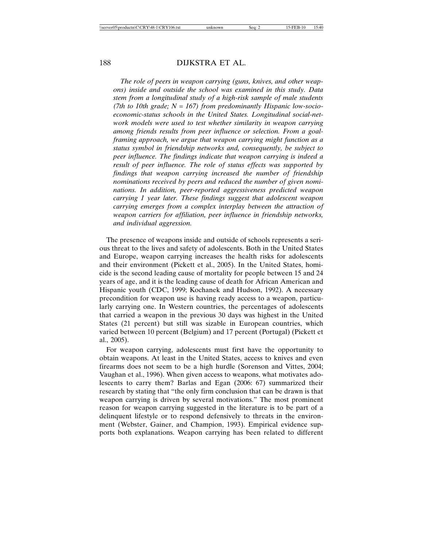*The role of peers in weapon carrying (guns, knives, and other weapons) inside and outside the school was examined in this study. Data stem from a longitudinal study of a high-risk sample of male students (7th to 10th grade; N = 167) from predominantly Hispanic low-socioeconomic-status schools in the United States. Longitudinal social-network models were used to test whether similarity in weapon carrying among friends results from peer influence or selection. From a goalframing approach, we argue that weapon carrying might function as a status symbol in friendship networks and, consequently, be subject to peer influence. The findings indicate that weapon carrying is indeed a result of peer influence. The role of status effects was supported by findings that weapon carrying increased the number of friendship nominations received by peers and reduced the number of given nominations. In addition, peer-reported aggressiveness predicted weapon carrying 1 year later. These findings suggest that adolescent weapon carrying emerges from a complex interplay between the attraction of weapon carriers for affiliation, peer influence in friendship networks, and individual aggression.*

The presence of weapons inside and outside of schools represents a serious threat to the lives and safety of adolescents. Both in the United States and Europe, weapon carrying increases the health risks for adolescents and their environment (Pickett et al., 2005). In the United States, homicide is the second leading cause of mortality for people between 15 and 24 years of age, and it is the leading cause of death for African American and Hispanic youth (CDC, 1999; Kochanek and Hudson, 1992). A necessary precondition for weapon use is having ready access to a weapon, particularly carrying one. In Western countries, the percentages of adolescents that carried a weapon in the previous 30 days was highest in the United States (21 percent) but still was sizable in European countries, which varied between 10 percent (Belgium) and 17 percent (Portugal) (Pickett et al., 2005).

For weapon carrying, adolescents must first have the opportunity to obtain weapons. At least in the United States, access to knives and even firearms does not seem to be a high hurdle (Sorenson and Vittes, 2004; Vaughan et al., 1996). When given access to weapons, what motivates adolescents to carry them? Barlas and Egan (2006: 67) summarized their research by stating that "the only firm conclusion that can be drawn is that weapon carrying is driven by several motivations." The most prominent reason for weapon carrying suggested in the literature is to be part of a delinquent lifestyle or to respond defensively to threats in the environment (Webster, Gainer, and Champion, 1993). Empirical evidence supports both explanations. Weapon carrying has been related to different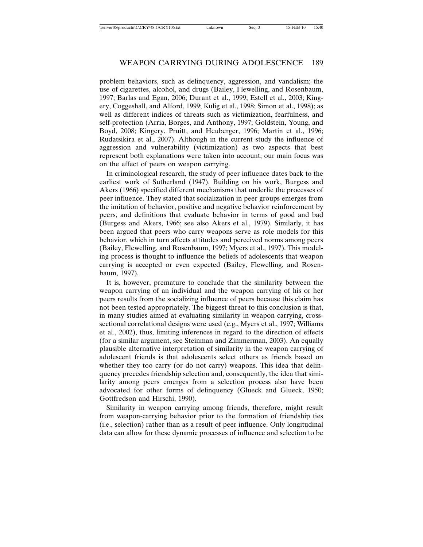problem behaviors, such as delinquency, aggression, and vandalism; the use of cigarettes, alcohol, and drugs (Bailey, Flewelling, and Rosenbaum, 1997; Barlas and Egan, 2006; Durant et al., 1999; Estell et al., 2003; Kingery, Coggeshall, and Alford, 1999; Kulig et al., 1998; Simon et al., 1998); as well as different indices of threats such as victimization, fearfulness, and self-protection (Arria, Borges, and Anthony, 1997; Goldstein, Young, and Boyd, 2008; Kingery, Pruitt, and Heuberger, 1996; Martin et al., 1996; Rudatsikira et al., 2007). Although in the current study the influence of aggression and vulnerability (victimization) as two aspects that best represent both explanations were taken into account, our main focus was on the effect of peers on weapon carrying.

In criminological research, the study of peer influence dates back to the earliest work of Sutherland (1947). Building on his work, Burgess and Akers (1966) specified different mechanisms that underlie the processes of peer influence. They stated that socialization in peer groups emerges from the imitation of behavior, positive and negative behavior reinforcement by peers, and definitions that evaluate behavior in terms of good and bad (Burgess and Akers, 1966; see also Akers et al., 1979). Similarly, it has been argued that peers who carry weapons serve as role models for this behavior, which in turn affects attitudes and perceived norms among peers (Bailey, Flewelling, and Rosenbaum, 1997; Myers et al., 1997). This modeling process is thought to influence the beliefs of adolescents that weapon carrying is accepted or even expected (Bailey, Flewelling, and Rosenbaum, 1997).

It is, however, premature to conclude that the similarity between the weapon carrying of an individual and the weapon carrying of his or her peers results from the socializing influence of peers because this claim has not been tested appropriately. The biggest threat to this conclusion is that, in many studies aimed at evaluating similarity in weapon carrying, crosssectional correlational designs were used (e.g., Myers et al., 1997; Williams et al., 2002), thus, limiting inferences in regard to the direction of effects (for a similar argument, see Steinman and Zimmerman, 2003). An equally plausible alternative interpretation of similarity in the weapon carrying of adolescent friends is that adolescents select others as friends based on whether they too carry (or do not carry) weapons. This idea that delinquency precedes friendship selection and, consequently, the idea that similarity among peers emerges from a selection process also have been advocated for other forms of delinquency (Glueck and Glueck, 1950; Gottfredson and Hirschi, 1990).

Similarity in weapon carrying among friends, therefore, might result from weapon-carrying behavior prior to the formation of friendship ties (i.e., selection) rather than as a result of peer influence. Only longitudinal data can allow for these dynamic processes of influence and selection to be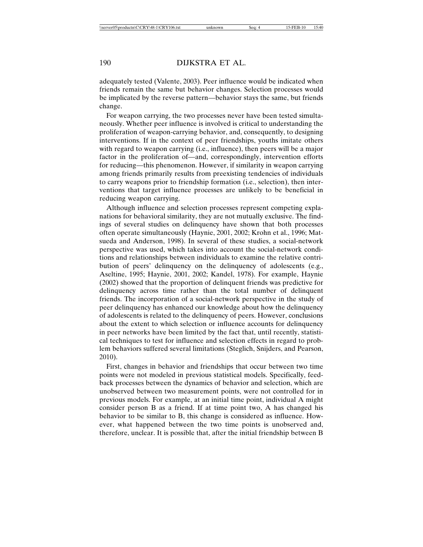adequately tested (Valente, 2003). Peer influence would be indicated when friends remain the same but behavior changes. Selection processes would be implicated by the reverse pattern—behavior stays the same, but friends change.

For weapon carrying, the two processes never have been tested simultaneously. Whether peer influence is involved is critical to understanding the proliferation of weapon-carrying behavior, and, consequently, to designing interventions. If in the context of peer friendships, youths imitate others with regard to weapon carrying (i.e., influence), then peers will be a major factor in the proliferation of—and, correspondingly, intervention efforts for reducing—this phenomenon. However, if similarity in weapon carrying among friends primarily results from preexisting tendencies of individuals to carry weapons prior to friendship formation (i.e., selection), then interventions that target influence processes are unlikely to be beneficial in reducing weapon carrying.

Although influence and selection processes represent competing explanations for behavioral similarity, they are not mutually exclusive. The findings of several studies on delinquency have shown that both processes often operate simultaneously (Haynie, 2001, 2002; Krohn et al., 1996; Matsueda and Anderson, 1998). In several of these studies, a social-network perspective was used, which takes into account the social-network conditions and relationships between individuals to examine the relative contribution of peers' delinquency on the delinquency of adolescents (e.g., Aseltine, 1995; Haynie, 2001, 2002; Kandel, 1978). For example, Haynie (2002) showed that the proportion of delinquent friends was predictive for delinquency across time rather than the total number of delinquent friends. The incorporation of a social-network perspective in the study of peer delinquency has enhanced our knowledge about how the delinquency of adolescents is related to the delinquency of peers. However, conclusions about the extent to which selection or influence accounts for delinquency in peer networks have been limited by the fact that, until recently, statistical techniques to test for influence and selection effects in regard to problem behaviors suffered several limitations (Steglich, Snijders, and Pearson, 2010).

First, changes in behavior and friendships that occur between two time points were not modeled in previous statistical models. Specifically, feedback processes between the dynamics of behavior and selection, which are unobserved between two measurement points, were not controlled for in previous models. For example, at an initial time point, individual A might consider person B as a friend. If at time point two, A has changed his behavior to be similar to B, this change is considered as influence. However, what happened between the two time points is unobserved and, therefore, unclear. It is possible that, after the initial friendship between B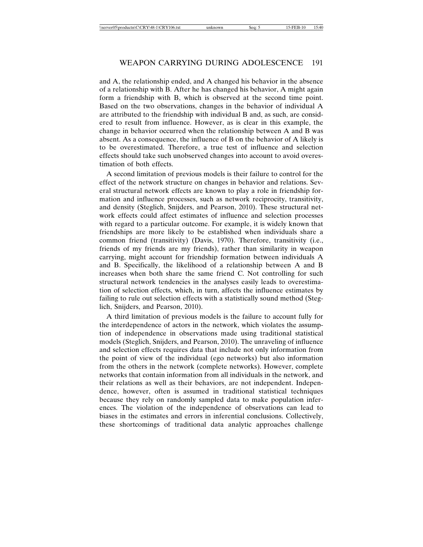and A, the relationship ended, and A changed his behavior in the absence of a relationship with B. After he has changed his behavior, A might again form a friendship with B, which is observed at the second time point. Based on the two observations, changes in the behavior of individual A are attributed to the friendship with individual B and, as such, are considered to result from influence. However, as is clear in this example, the change in behavior occurred when the relationship between A and B was absent. As a consequence, the influence of B on the behavior of A likely is to be overestimated. Therefore, a true test of influence and selection effects should take such unobserved changes into account to avoid overestimation of both effects.

A second limitation of previous models is their failure to control for the effect of the network structure on changes in behavior and relations. Several structural network effects are known to play a role in friendship formation and influence processes, such as network reciprocity, transitivity, and density (Steglich, Snijders, and Pearson, 2010). These structural network effects could affect estimates of influence and selection processes with regard to a particular outcome. For example, it is widely known that friendships are more likely to be established when individuals share a common friend (transitivity) (Davis, 1970). Therefore, transitivity (i.e., friends of my friends are my friends), rather than similarity in weapon carrying, might account for friendship formation between individuals A and B. Specifically, the likelihood of a relationship between A and B increases when both share the same friend C. Not controlling for such structural network tendencies in the analyses easily leads to overestimation of selection effects, which, in turn, affects the influence estimates by failing to rule out selection effects with a statistically sound method (Steglich, Snijders, and Pearson, 2010).

A third limitation of previous models is the failure to account fully for the interdependence of actors in the network, which violates the assumption of independence in observations made using traditional statistical models (Steglich, Snijders, and Pearson, 2010). The unraveling of influence and selection effects requires data that include not only information from the point of view of the individual (ego networks) but also information from the others in the network (complete networks). However, complete networks that contain information from all individuals in the network, and their relations as well as their behaviors, are not independent. Independence, however, often is assumed in traditional statistical techniques because they rely on randomly sampled data to make population inferences. The violation of the independence of observations can lead to biases in the estimates and errors in inferential conclusions. Collectively, these shortcomings of traditional data analytic approaches challenge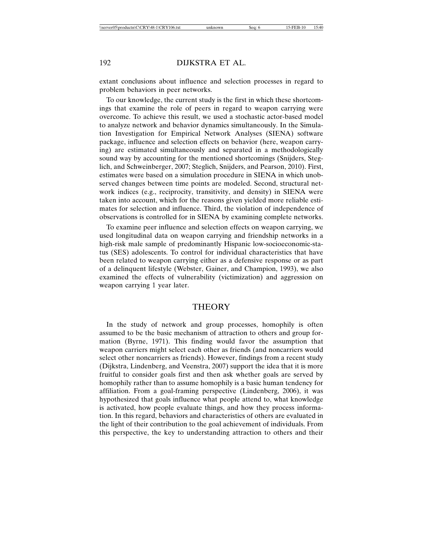extant conclusions about influence and selection processes in regard to problem behaviors in peer networks.

To our knowledge, the current study is the first in which these shortcomings that examine the role of peers in regard to weapon carrying were overcome. To achieve this result, we used a stochastic actor-based model to analyze network and behavior dynamics simultaneously. In the Simulation Investigation for Empirical Network Analyses (SIENA) software package, influence and selection effects on behavior (here, weapon carrying) are estimated simultaneously and separated in a methodologically sound way by accounting for the mentioned shortcomings (Snijders, Steglich, and Schweinberger, 2007; Steglich, Snijders, and Pearson, 2010). First, estimates were based on a simulation procedure in SIENA in which unobserved changes between time points are modeled. Second, structural network indices (e.g., reciprocity, transitivity, and density) in SIENA were taken into account, which for the reasons given yielded more reliable estimates for selection and influence. Third, the violation of independence of observations is controlled for in SIENA by examining complete networks.

To examine peer influence and selection effects on weapon carrying, we used longitudinal data on weapon carrying and friendship networks in a high-risk male sample of predominantly Hispanic low-socioeconomic-status (SES) adolescents. To control for individual characteristics that have been related to weapon carrying either as a defensive response or as part of a delinquent lifestyle (Webster, Gainer, and Champion, 1993), we also examined the effects of vulnerability (victimization) and aggression on weapon carrying 1 year later.

# **THEORY**

In the study of network and group processes, homophily is often assumed to be the basic mechanism of attraction to others and group formation (Byrne, 1971). This finding would favor the assumption that weapon carriers might select each other as friends (and noncarriers would select other noncarriers as friends). However, findings from a recent study (Dijkstra, Lindenberg, and Veenstra, 2007) support the idea that it is more fruitful to consider goals first and then ask whether goals are served by homophily rather than to assume homophily is a basic human tendency for affiliation. From a goal-framing perspective (Lindenberg, 2006), it was hypothesized that goals influence what people attend to, what knowledge is activated, how people evaluate things, and how they process information. In this regard, behaviors and characteristics of others are evaluated in the light of their contribution to the goal achievement of individuals. From this perspective, the key to understanding attraction to others and their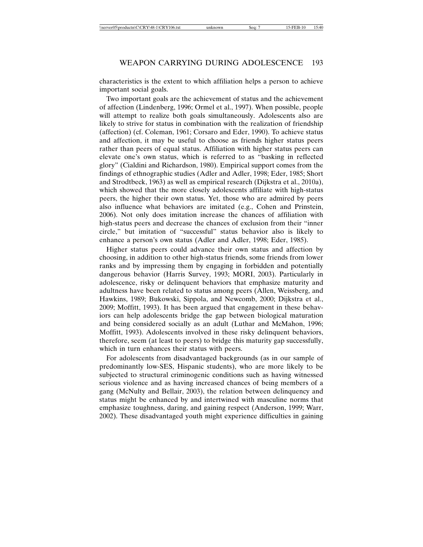characteristics is the extent to which affiliation helps a person to achieve important social goals.

Two important goals are the achievement of status and the achievement of affection (Lindenberg, 1996; Ormel et al., 1997). When possible, people will attempt to realize both goals simultaneously. Adolescents also are likely to strive for status in combination with the realization of friendship (affection) (cf. Coleman, 1961; Corsaro and Eder, 1990). To achieve status and affection, it may be useful to choose as friends higher status peers rather than peers of equal status. Affiliation with higher status peers can elevate one's own status, which is referred to as "basking in reflected glory" (Cialdini and Richardson, 1980). Empirical support comes from the findings of ethnographic studies (Adler and Adler, 1998; Eder, 1985; Short and Strodtbeck, 1963) as well as empirical research (Dijkstra et al., 2010a), which showed that the more closely adolescents affiliate with high-status peers, the higher their own status. Yet, those who are admired by peers also influence what behaviors are imitated (e.g., Cohen and Prinstein, 2006). Not only does imitation increase the chances of affiliation with high-status peers and decrease the chances of exclusion from their "inner circle," but imitation of "successful" status behavior also is likely to enhance a person's own status (Adler and Adler, 1998; Eder, 1985).

Higher status peers could advance their own status and affection by choosing, in addition to other high-status friends, some friends from lower ranks and by impressing them by engaging in forbidden and potentially dangerous behavior (Harris Survey, 1993; MORI, 2003). Particularly in adolescence, risky or delinquent behaviors that emphasize maturity and adultness have been related to status among peers (Allen, Weissberg, and Hawkins, 1989; Bukowski, Sippola, and Newcomb, 2000; Dijkstra et al., 2009; Moffitt, 1993). It has been argued that engagement in these behaviors can help adolescents bridge the gap between biological maturation and being considered socially as an adult (Luthar and McMahon, 1996; Moffitt, 1993). Adolescents involved in these risky delinquent behaviors, therefore, seem (at least to peers) to bridge this maturity gap successfully, which in turn enhances their status with peers.

For adolescents from disadvantaged backgrounds (as in our sample of predominantly low-SES, Hispanic students), who are more likely to be subjected to structural criminogenic conditions such as having witnessed serious violence and as having increased chances of being members of a gang (McNulty and Bellair, 2003), the relation between delinquency and status might be enhanced by and intertwined with masculine norms that emphasize toughness, daring, and gaining respect (Anderson, 1999; Warr, 2002). These disadvantaged youth might experience difficulties in gaining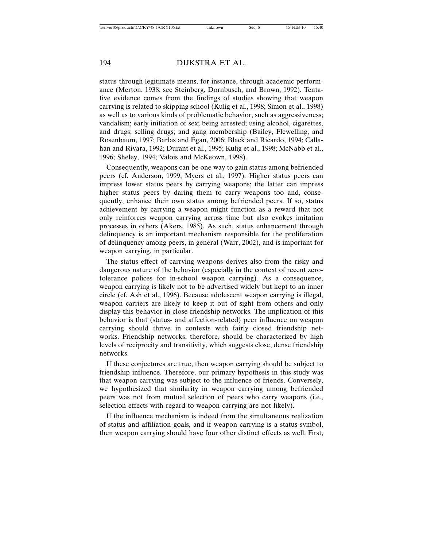status through legitimate means, for instance, through academic performance (Merton, 1938; see Steinberg, Dornbusch, and Brown, 1992). Tentative evidence comes from the findings of studies showing that weapon carrying is related to skipping school (Kulig et al., 1998; Simon et al., 1998) as well as to various kinds of problematic behavior, such as aggressiveness; vandalism; early initiation of sex; being arrested; using alcohol, cigarettes, and drugs; selling drugs; and gang membership (Bailey, Flewelling, and Rosenbaum, 1997; Barlas and Egan, 2006; Black and Ricardo, 1994; Callahan and Rivara, 1992; Durant et al., 1995; Kulig et al., 1998; McNabb et al., 1996; Sheley, 1994; Valois and McKeown, 1998).

Consequently, weapons can be one way to gain status among befriended peers (cf. Anderson, 1999; Myers et al., 1997). Higher status peers can impress lower status peers by carrying weapons; the latter can impress higher status peers by daring them to carry weapons too and, consequently, enhance their own status among befriended peers. If so, status achievement by carrying a weapon might function as a reward that not only reinforces weapon carrying across time but also evokes imitation processes in others (Akers, 1985). As such, status enhancement through delinquency is an important mechanism responsible for the proliferation of delinquency among peers, in general (Warr, 2002), and is important for weapon carrying, in particular.

The status effect of carrying weapons derives also from the risky and dangerous nature of the behavior (especially in the context of recent zerotolerance polices for in-school weapon carrying). As a consequence, weapon carrying is likely not to be advertised widely but kept to an inner circle (cf. Ash et al., 1996). Because adolescent weapon carrying is illegal, weapon carriers are likely to keep it out of sight from others and only display this behavior in close friendship networks. The implication of this behavior is that (status- and affection-related) peer influence on weapon carrying should thrive in contexts with fairly closed friendship networks. Friendship networks, therefore, should be characterized by high levels of reciprocity and transitivity, which suggests close, dense friendship networks.

If these conjectures are true, then weapon carrying should be subject to friendship influence. Therefore, our primary hypothesis in this study was that weapon carrying was subject to the influence of friends. Conversely, we hypothesized that similarity in weapon carrying among befriended peers was not from mutual selection of peers who carry weapons (i.e., selection effects with regard to weapon carrying are not likely).

If the influence mechanism is indeed from the simultaneous realization of status and affiliation goals, and if weapon carrying is a status symbol, then weapon carrying should have four other distinct effects as well. First,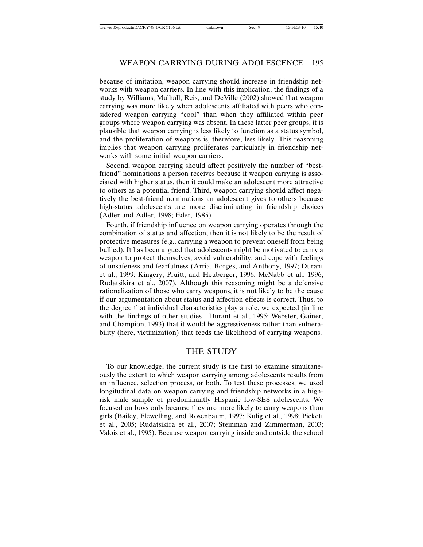because of imitation, weapon carrying should increase in friendship networks with weapon carriers. In line with this implication, the findings of a study by Williams, Mulhall, Reis, and DeVille (2002) showed that weapon carrying was more likely when adolescents affiliated with peers who considered weapon carrying "cool" than when they affiliated within peer groups where weapon carrying was absent. In these latter peer groups, it is plausible that weapon carrying is less likely to function as a status symbol, and the proliferation of weapons is, therefore, less likely. This reasoning implies that weapon carrying proliferates particularly in friendship networks with some initial weapon carriers.

Second, weapon carrying should affect positively the number of "bestfriend" nominations a person receives because if weapon carrying is associated with higher status, then it could make an adolescent more attractive to others as a potential friend. Third, weapon carrying should affect negatively the best-friend nominations an adolescent gives to others because high-status adolescents are more discriminating in friendship choices (Adler and Adler, 1998; Eder, 1985).

Fourth, if friendship influence on weapon carrying operates through the combination of status and affection, then it is not likely to be the result of protective measures (e.g., carrying a weapon to prevent oneself from being bullied). It has been argued that adolescents might be motivated to carry a weapon to protect themselves, avoid vulnerability, and cope with feelings of unsafeness and fearfulness (Arria, Borges, and Anthony, 1997; Durant et al., 1999; Kingery, Pruitt, and Heuberger, 1996; McNabb et al., 1996; Rudatsikira et al., 2007). Although this reasoning might be a defensive rationalization of those who carry weapons, it is not likely to be the cause if our argumentation about status and affection effects is correct. Thus, to the degree that individual characteristics play a role, we expected (in line with the findings of other studies—Durant et al., 1995; Webster, Gainer, and Champion, 1993) that it would be aggressiveness rather than vulnerability (here, victimization) that feeds the likelihood of carrying weapons.

# THE STUDY

To our knowledge, the current study is the first to examine simultaneously the extent to which weapon carrying among adolescents results from an influence, selection process, or both. To test these processes, we used longitudinal data on weapon carrying and friendship networks in a highrisk male sample of predominantly Hispanic low-SES adolescents. We focused on boys only because they are more likely to carry weapons than girls (Bailey, Flewelling, and Rosenbaum, 1997; Kulig et al., 1998; Pickett et al., 2005; Rudatsikira et al., 2007; Steinman and Zimmerman, 2003; Valois et al., 1995). Because weapon carrying inside and outside the school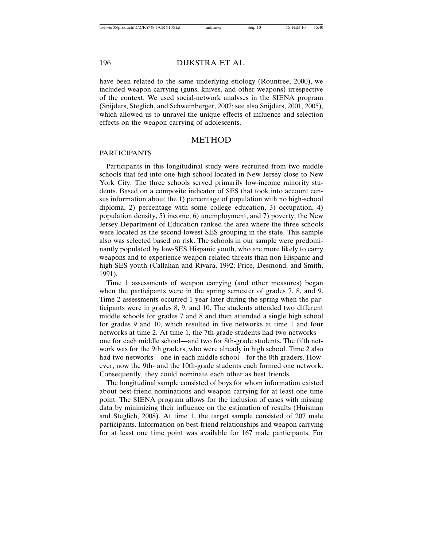have been related to the same underlying etiology (Rountree, 2000), we included weapon carrying (guns, knives, and other weapons) irrespective of the context. We used social-network analyses in the SIENA program (Snijders, Steglich, and Schweinberger, 2007; see also Snijders, 2001, 2005), which allowed us to unravel the unique effects of influence and selection effects on the weapon carrying of adolescents.

# METHOD

### PARTICIPANTS

Participants in this longitudinal study were recruited from two middle schools that fed into one high school located in New Jersey close to New York City. The three schools served primarily low-income minority students. Based on a composite indicator of SES that took into account census information about the 1) percentage of population with no high-school diploma, 2) percentage with some college education, 3) occupation, 4) population density, 5) income, 6) unemployment, and 7) poverty, the New Jersey Department of Education ranked the area where the three schools were located as the second-lowest SES grouping in the state. This sample also was selected based on risk. The schools in our sample were predominantly populated by low-SES Hispanic youth, who are more likely to carry weapons and to experience weapon-related threats than non-Hispanic and high-SES youth (Callahan and Rivara, 1992; Price, Desmond, and Smith, 1991).

Time 1 assessments of weapon carrying (and other measures) began when the participants were in the spring semester of grades 7, 8, and 9. Time 2 assessments occurred 1 year later during the spring when the participants were in grades 8, 9, and 10. The students attended two different middle schools for grades 7 and 8 and then attended a single high school for grades 9 and 10, which resulted in five networks at time 1 and four networks at time 2. At time 1, the 7th-grade students had two networks one for each middle school—and two for 8th-grade students. The fifth network was for the 9th graders, who were already in high school. Time 2 also had two networks—one in each middle school—for the 8th graders. However, now the 9th- and the 10th-grade students each formed one network. Consequently, they could nominate each other as best friends.

The longitudinal sample consisted of boys for whom information existed about best-friend nominations and weapon carrying for at least one time point. The SIENA program allows for the inclusion of cases with missing data by minimizing their influence on the estimation of results (Huisman and Steglich, 2008). At time 1, the target sample consisted of 207 male participants. Information on best-friend relationships and weapon carrying for at least one time point was available for 167 male participants. For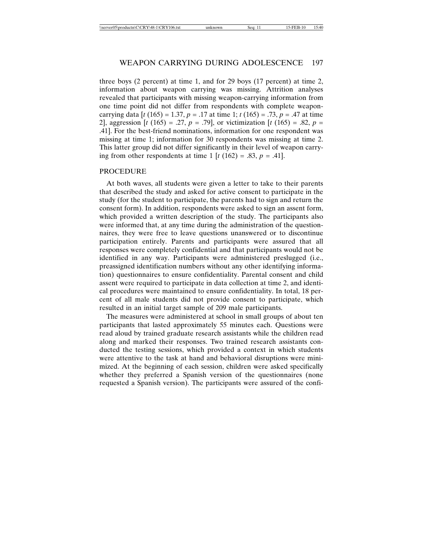three boys (2 percent) at time 1, and for 29 boys (17 percent) at time 2, information about weapon carrying was missing. Attrition analyses revealed that participants with missing weapon-carrying information from one time point did not differ from respondents with complete weaponcarrying data  $[t (165) = 1.37, p = .17$  at time 1;  $t (165) = .73, p = .47$  at time 2], aggression [*t* (165) = .27, *p* = .79], or victimization [*t* (165) = .82, *p* = .41]. For the best-friend nominations, information for one respondent was missing at time 1; information for 30 respondents was missing at time 2. This latter group did not differ significantly in their level of weapon carrying from other respondents at time  $1 \t{t (162)} = .83, p = .41$ .

### PROCEDURE

At both waves, all students were given a letter to take to their parents that described the study and asked for active consent to participate in the study (for the student to participate, the parents had to sign and return the consent form). In addition, respondents were asked to sign an assent form, which provided a written description of the study. The participants also were informed that, at any time during the administration of the questionnaires, they were free to leave questions unanswered or to discontinue participation entirely. Parents and participants were assured that all responses were completely confidential and that participants would not be identified in any way. Participants were administered preslugged (i.e., preassigned identification numbers without any other identifying information) questionnaires to ensure confidentiality. Parental consent and child assent were required to participate in data collection at time 2, and identical procedures were maintained to ensure confidentiality. In total, 18 percent of all male students did not provide consent to participate, which resulted in an initial target sample of 209 male participants.

The measures were administered at school in small groups of about ten participants that lasted approximately 55 minutes each. Questions were read aloud by trained graduate research assistants while the children read along and marked their responses. Two trained research assistants conducted the testing sessions, which provided a context in which students were attentive to the task at hand and behavioral disruptions were minimized. At the beginning of each session, children were asked specifically whether they preferred a Spanish version of the questionnaires (none requested a Spanish version). The participants were assured of the confi-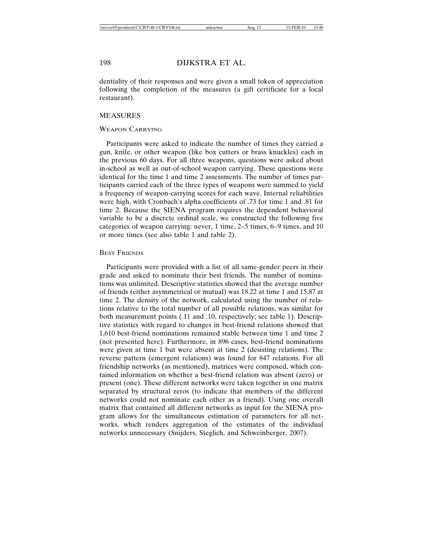dentiality of their responses and were given a small token of appreciation following the completion of the measures (a gift certificate for a local restaurant).

### MEASURES

## WEAPON CARRYING

Participants were asked to indicate the number of times they carried a gun, knife, or other weapon (like box cutters or brass knuckles) each in the previous 60 days. For all three weapons, questions were asked about in-school as well as out-of-school weapon carrying. These questions were identical for the time 1 and time 2 assessments. The number of times participants carried each of the three types of weapons were summed to yield a frequency of weapon-carrying scores for each wave. Internal reliabilities were high, with Cronbach's alpha coefficients of .73 for time 1 and .81 for time 2. Because the SIENA program requires the dependent behavioral variable to be a discrete ordinal scale, we constructed the following five categories of weapon carrying: never, 1 time, 2–5 times, 6–9 times, and 10 or more times (see also table 1 and table 2).

## BEST FRIENDS

Participants were provided with a list of all same-gender peers in their grade and asked to nominate their best friends. The number of nominations was unlimited. Descriptive statistics showed that the average number of friends (either asymmetrical or mutual) was 18.22 at time 1 and 15.87 at time 2. The density of the network, calculated using the number of relations relative to the total number of all possible relations, was similar for both measurement points (.11 and .10, respectively; see table 1). Descriptive statistics with regard to changes in best-friend relations showed that 1,610 best-friend nominations remained stable between time 1 and time 2 (not presented here). Furthermore, in 896 cases, best-friend nominations were given at time 1 but were absent at time 2 (desisting relations). The reverse pattern (emergent relations) was found for 847 relations. For all friendship networks (as mentioned), matrices were composed, which contained information on whether a best-friend relation was absent (zero) or present (one). These different networks were taken together in one matrix separated by structural zeros (to indicate that members of the different networks could not nominate each other as a friend). Using one overall matrix that contained all different networks as input for the SIENA program allows for the simultaneous estimation of parameters for all networks, which renders aggregation of the estimates of the individual networks unnecessary (Snijders, Steglich, and Schweinberger, 2007).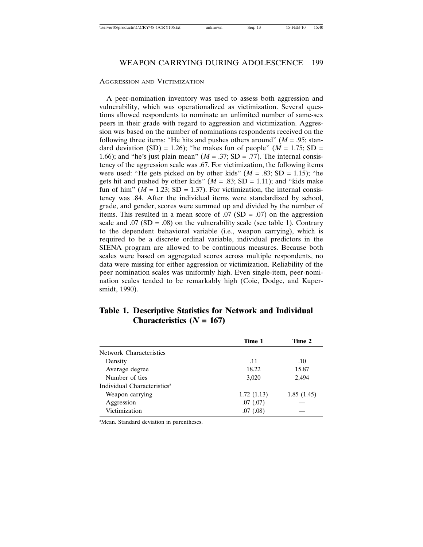## AGGRESSION AND VICTIMIZATION

A peer-nomination inventory was used to assess both aggression and vulnerability, which was operationalized as victimization. Several questions allowed respondents to nominate an unlimited number of same-sex peers in their grade with regard to aggression and victimization. Aggression was based on the number of nominations respondents received on the following three items: "He hits and pushes others around" (*M* = .95; standard deviation (SD) = 1.26); "he makes fun of people" ( $M = 1.75$ ; SD = 1.66); and "he's just plain mean" ( $M = .37$ ; SD = .77). The internal consistency of the aggression scale was .67. For victimization, the following items were used: "He gets picked on by other kids" ( $M = .83$ ; SD = 1.15); "he gets hit and pushed by other kids" ( $M = .83$ ; SD = 1.11); and "kids make fun of him" ( $M = 1.23$ ; SD = 1.37). For victimization, the internal consistency was .84. After the individual items were standardized by school, grade, and gender, scores were summed up and divided by the number of items. This resulted in a mean score of  $.07$  (SD =  $.07$ ) on the aggression scale and .07 ( $SD = .08$ ) on the vulnerability scale (see table 1). Contrary to the dependent behavioral variable (i.e., weapon carrying), which is required to be a discrete ordinal variable, individual predictors in the SIENA program are allowed to be continuous measures. Because both scales were based on aggregated scores across multiple respondents, no data were missing for either aggression or victimization. Reliability of the peer nomination scales was uniformly high. Even single-item, peer-nomination scales tended to be remarkably high (Coie, Dodge, and Kupersmidt, 1990).

# **Table 1. Descriptive Statistics for Network and Individual Characteristics (***N* **= 167)**

|                                         | Time 1     | Time 2     |
|-----------------------------------------|------------|------------|
| Network Characteristics                 |            |            |
| Density                                 | .11        | .10        |
| Average degree                          | 18.22      | 15.87      |
| Number of ties                          | 3,020      | 2,494      |
| Individual Characteristics <sup>a</sup> |            |            |
| Weapon carrying                         | 1.72(1.13) | 1.85(1.45) |
| Aggression                              | .07(.07)   |            |
| Victimization                           | .07(0.08)  |            |

a Mean. Standard deviation in parentheses.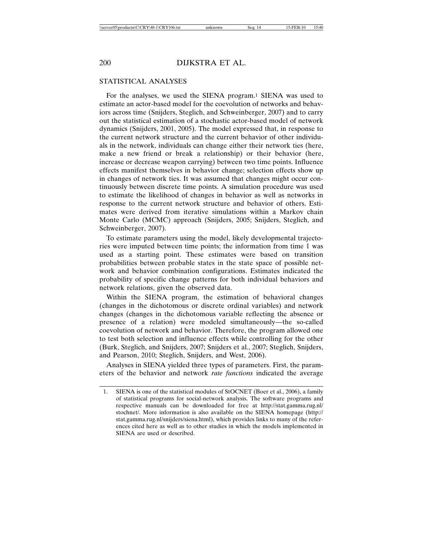# STATISTICAL ANALYSES

For the analyses, we used the SIENA program.1 SIENA was used to estimate an actor-based model for the coevolution of networks and behaviors across time (Snijders, Steglich, and Schweinberger, 2007) and to carry out the statistical estimation of a stochastic actor-based model of network dynamics (Snijders, 2001, 2005). The model expressed that, in response to the current network structure and the current behavior of other individuals in the network, individuals can change either their network ties (here, make a new friend or break a relationship) or their behavior (here, increase or decrease weapon carrying) between two time points. Influence effects manifest themselves in behavior change; selection effects show up in changes of network ties. It was assumed that changes might occur continuously between discrete time points. A simulation procedure was used to estimate the likelihood of changes in behavior as well as networks in response to the current network structure and behavior of others. Estimates were derived from iterative simulations within a Markov chain Monte Carlo (MCMC) approach (Snijders, 2005; Snijders, Steglich, and Schweinberger, 2007).

To estimate parameters using the model, likely developmental trajectories were imputed between time points; the information from time 1 was used as a starting point. These estimates were based on transition probabilities between probable states in the state space of possible network and behavior combination configurations. Estimates indicated the probability of specific change patterns for both individual behaviors and network relations, given the observed data.

Within the SIENA program, the estimation of behavioral changes (changes in the dichotomous or discrete ordinal variables) and network changes (changes in the dichotomous variable reflecting the absence or presence of a relation) were modeled simultaneously—the so-called coevolution of network and behavior. Therefore, the program allowed one to test both selection and influence effects while controlling for the other (Burk, Steglich, and Snijders, 2007; Snijders et al., 2007; Steglich, Snijders, and Pearson, 2010; Steglich, Snijders, and West, 2006).

Analyses in SIENA yielded three types of parameters. First, the parameters of the behavior and network *rate functions* indicated the average

SIENA is one of the statistical modules of StOCNET (Boer et al., 2006), a family of statistical programs for social-network analysis. The software programs and respective manuals can be downloaded for free at http://stat.gamma.rug.nl/ stochnet/. More information is also available on the SIENA homepage (http:// stat.gamma.rug.nl/snijders/siena.html), which provides links to many of the references cited here as well as to other studies in which the models implemented in SIENA are used or described.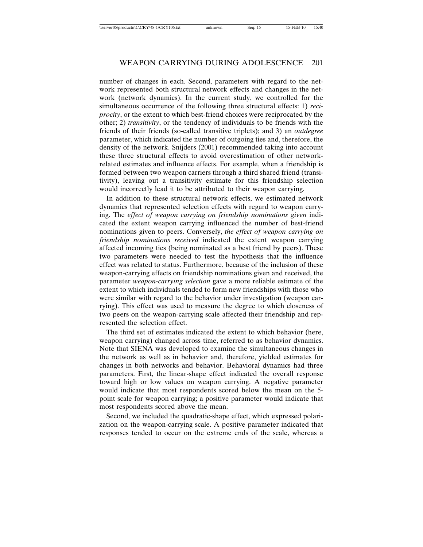number of changes in each. Second, parameters with regard to the network represented both structural network effects and changes in the network (network dynamics). In the current study, we controlled for the simultaneous occurrence of the following three structural effects: 1) *reciprocity*, or the extent to which best-friend choices were reciprocated by the other; 2) *transitivity*, or the tendency of individuals to be friends with the friends of their friends (so-called transitive triplets); and 3) an *outdegree* parameter, which indicated the number of outgoing ties and, therefore, the density of the network. Snijders (2001) recommended taking into account these three structural effects to avoid overestimation of other networkrelated estimates and influence effects. For example, when a friendship is formed between two weapon carriers through a third shared friend (transitivity), leaving out a transitivity estimate for this friendship selection would incorrectly lead it to be attributed to their weapon carrying.

In addition to these structural network effects, we estimated network dynamics that represented selection effects with regard to weapon carrying. The *effect of weapon carrying on friendship nominations given* indicated the extent weapon carrying influenced the number of best-friend nominations given to peers. Conversely, *the effect of weapon carrying on friendship nominations received* indicated the extent weapon carrying affected incoming ties (being nominated as a best friend by peers). These two parameters were needed to test the hypothesis that the influence effect was related to status. Furthermore, because of the inclusion of these weapon-carrying effects on friendship nominations given and received, the parameter *weapon-carrying selection* gave a more reliable estimate of the extent to which individuals tended to form new friendships with those who were similar with regard to the behavior under investigation (weapon carrying). This effect was used to measure the degree to which closeness of two peers on the weapon-carrying scale affected their friendship and represented the selection effect.

The third set of estimates indicated the extent to which behavior (here, weapon carrying) changed across time, referred to as behavior dynamics. Note that SIENA was developed to examine the simultaneous changes in the network as well as in behavior and, therefore, yielded estimates for changes in both networks and behavior. Behavioral dynamics had three parameters. First, the linear-shape effect indicated the overall response toward high or low values on weapon carrying. A negative parameter would indicate that most respondents scored below the mean on the 5 point scale for weapon carrying; a positive parameter would indicate that most respondents scored above the mean.

Second, we included the quadratic-shape effect, which expressed polarization on the weapon-carrying scale. A positive parameter indicated that responses tended to occur on the extreme ends of the scale, whereas a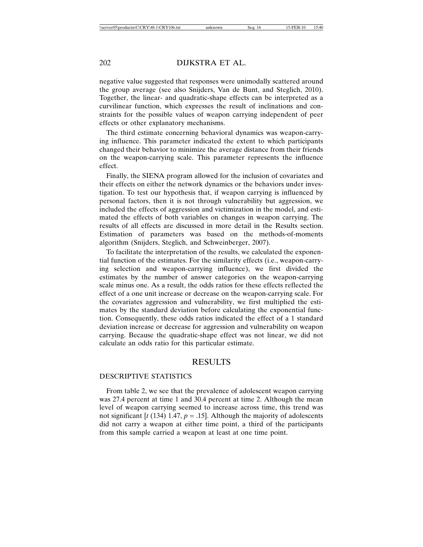negative value suggested that responses were unimodally scattered around the group average (see also Snijders, Van de Bunt, and Steglich, 2010). Together, the linear- and quadratic-shape effects can be interpreted as a curvilinear function, which expresses the result of inclinations and constraints for the possible values of weapon carrying independent of peer effects or other explanatory mechanisms.

The third estimate concerning behavioral dynamics was weapon-carrying influence. This parameter indicated the extent to which participants changed their behavior to minimize the average distance from their friends on the weapon-carrying scale. This parameter represents the influence effect.

Finally, the SIENA program allowed for the inclusion of covariates and their effects on either the network dynamics or the behaviors under investigation. To test our hypothesis that, if weapon carrying is influenced by personal factors, then it is not through vulnerability but aggression, we included the effects of aggression and victimization in the model, and estimated the effects of both variables on changes in weapon carrying. The results of all effects are discussed in more detail in the Results section. Estimation of parameters was based on the methods-of-moments algorithm (Snijders, Steglich, and Schweinberger, 2007).

To facilitate the interpretation of the results, we calculated the exponential function of the estimates. For the similarity effects (i.e., weapon-carrying selection and weapon-carrying influence), we first divided the estimates by the number of answer categories on the weapon-carrying scale minus one. As a result, the odds ratios for these effects reflected the effect of a one unit increase or decrease on the weapon-carrying scale. For the covariates aggression and vulnerability, we first multiplied the estimates by the standard deviation before calculating the exponential function. Consequently, these odds ratios indicated the effect of a 1 standard deviation increase or decrease for aggression and vulnerability on weapon carrying. Because the quadratic-shape effect was not linear, we did not calculate an odds ratio for this particular estimate.

## RESULTS

## DESCRIPTIVE STATISTICS

From table 2, we see that the prevalence of adolescent weapon carrying was 27.4 percent at time 1 and 30.4 percent at time 2. Although the mean level of weapon carrying seemed to increase across time, this trend was not significant  $[t (134) 1.47, p = .15]$ . Although the majority of adolescents did not carry a weapon at either time point, a third of the participants from this sample carried a weapon at least at one time point.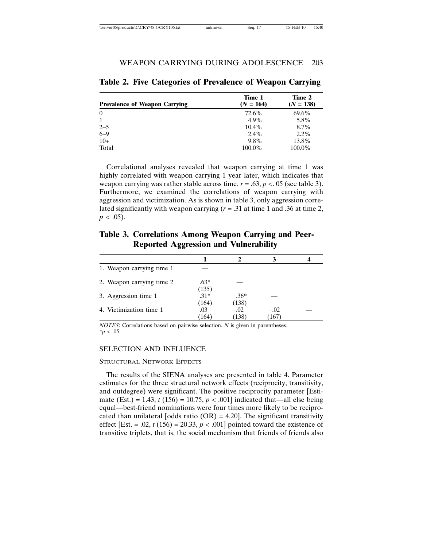|                                      | Time 1      | Time 2      |
|--------------------------------------|-------------|-------------|
| <b>Prevalence of Weapon Carrying</b> | $(N = 164)$ | $(N = 138)$ |
|                                      | 72.6%       | 69.6%       |
|                                      | 4.9%        | 5.8%        |
| $2 - 5$                              | 10.4%       | 8.7%        |
| $6 - 9$                              | 2.4%        | $2.2\%$     |
| $10+$                                | 9.8%        | 13.8%       |
| Total                                | 100.0%      | 100.0%      |

**Table 2. Five Categories of Prevalence of Weapon Carrying**

Correlational analyses revealed that weapon carrying at time 1 was highly correlated with weapon carrying 1 year later, which indicates that weapon carrying was rather stable across time,  $r = .63$ ,  $p < .05$  (see table 3). Furthermore, we examined the correlations of weapon carrying with aggression and victimization. As is shown in table 3, only aggression correlated significantly with weapon carrying  $(r = .31$  at time 1 and .36 at time 2,  $p < .05$ ).

# **Table 3. Correlations Among Weapon Carrying and Peer-Reported Aggression and Vulnerability**

| 1. Weapon carrying time 1 |                 |                 |                |  |
|---------------------------|-----------------|-----------------|----------------|--|
| 2. Weapon carrying time 2 | .63*<br>(135)   |                 |                |  |
| 3. Aggression time 1      | $.31*$<br>(164) | $.36*$<br>(138) |                |  |
| 4. Victimization time 1   | .03<br>(164)    | $-.02$<br>(138) | $-.02$<br>(167 |  |

*NOTES*: Correlations based on pairwise selection. *N* is given in parentheses.  $*_{p}$  < .05.

## SELECTION AND INFLUENCE

# STRUCTURAL NETWORK EFFECTS

The results of the SIENA analyses are presented in table 4. Parameter estimates for the three structural network effects (reciprocity, transitivity, and outdegree) were significant. The positive reciprocity parameter [Estimate (Est.) = 1.43,  $t(156) = 10.75$ ,  $p < .001$ ] indicated that—all else being equal—best-friend nominations were four times more likely to be reciprocated than unilateral [odds ratio  $(OR) = 4.20$ ]. The significant transitivity effect [Est. = .02,  $t(156) = 20.33$ ,  $p < .001$ ] pointed toward the existence of transitive triplets, that is, the social mechanism that friends of friends also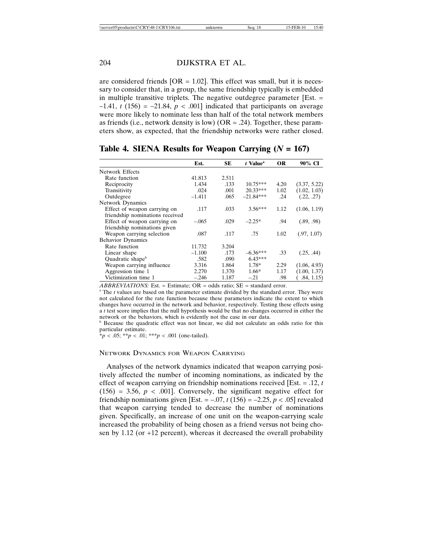are considered friends  $[OR = 1.02]$ . This effect was small, but it is necessary to consider that, in a group, the same friendship typically is embedded in multiple transitive triplets. The negative outdegree parameter [Est. =  $-1.41$ , *t* (156) =  $-21.84$ , *p* < .001] indicated that participants on average were more likely to nominate less than half of the total network members as friends (i.e., network density is low) ( $OR = .24$ ). Together, these parameters show, as expected, that the friendship networks were rather closed.

|                                 | Est.     | SE    | t Value <sup>a</sup> | <b>OR</b> | 90% CI       |
|---------------------------------|----------|-------|----------------------|-----------|--------------|
| Network Effects                 |          |       |                      |           |              |
| Rate function                   | 41.813   | 2.511 |                      |           |              |
| Reciprocity                     | 1.434    | .133  | $10.75***$           | 4.20      | (3.37, 5.22) |
| Transitivity                    | .024     | .001  | $20.33***$           | 1.02      | (1.02, 1.03) |
| Outdegree                       | $-1.411$ | .065  | $-21.84***$          | .24       | (.22, .27)   |
| Network Dynamics                |          |       |                      |           |              |
| Effect of weapon carrying on    | .117     | .033  | $3.56***$            | 1.12      | (1.06, 1.19) |
| friendship nominations received |          |       |                      |           |              |
| Effect of weapon carrying on    | $-.065$  | .029  | $-2.25*$             | .94       | (.89, .98)   |
| friendship nominations given    |          |       |                      |           |              |
| Weapon carrying selection       | .087     | .117  | .75                  | 1.02      | (.97, 1.07)  |
| <b>Behavior Dynamics</b>        |          |       |                      |           |              |
| Rate function                   | 11.732   | 3.204 |                      |           |              |
| Linear shape                    | $-1.100$ | .173  | $-6.36***$           | .33       | (.25, .44)   |
| Quadratic shape <sup>b</sup>    | .582     | .090  | $6.43***$            |           |              |
| Weapon carrying influence       | 3.316    | 1.864 | 1.78*                | 2.29      | (1.06, 4.93) |
| Aggression time 1               | 2.270    | 1.370 | $1.66*$              | 1.17      | (1.00, 1.37) |
| Victimization time 1            | $-.246$  | 1.187 | $-.21$               | .98       | .84, 1.15)   |

**Table 4. SIENA Results for Weapon Carrying**  $(N = 167)$ 

*ABBREVIATIONS:* Est. = Estimate; OR = odds ratio; SE = standard error.

<sup>a</sup> The *t* values are based on the parameter estimate divided by the standard error. They were not calculated for the rate function because these parameters indicate the extent to which changes have occurred in the network and behavior, respectively. Testing these effects using a *t* test score implies that the null hypothesis would be that no changes occurred in either the network or the behaviors, which is evidently not the case in our data.

<sup>b</sup> Because the quadratic effect was not linear, we did not calculate an odds ratio for this particular estimate.

\**p* < .05; \*\**p* < .01; \*\*\**p* < .001 (one-tailed).

## NETWORK DYNAMICS FOR WEAPON CARRYING

Analyses of the network dynamics indicated that weapon carrying positively affected the number of incoming nominations, as indicated by the effect of weapon carrying on friendship nominations received [Est. = .12, *t*  $(156) = 3.56$ ,  $p < .001$ . Conversely, the significant negative effect for friendship nominations given [Est.  $=$  -.07,  $t(156) = -2.25, p < .05$ ] revealed that weapon carrying tended to decrease the number of nominations given. Specifically, an increase of one unit on the weapon-carrying scale increased the probability of being chosen as a friend versus not being chosen by 1.12 (or +12 percent), whereas it decreased the overall probability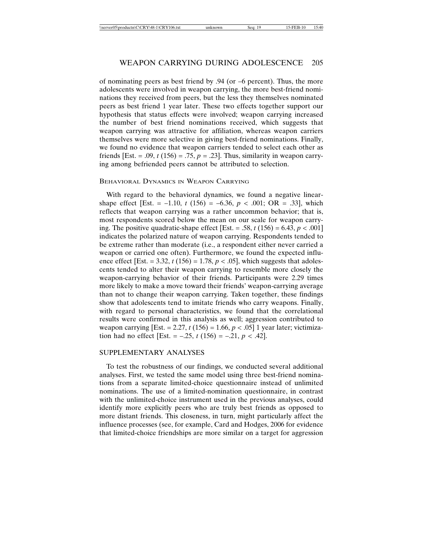of nominating peers as best friend by .94 (or –6 percent). Thus, the more adolescents were involved in weapon carrying, the more best-friend nominations they received from peers, but the less they themselves nominated peers as best friend 1 year later. These two effects together support our hypothesis that status effects were involved; weapon carrying increased the number of best friend nominations received, which suggests that weapon carrying was attractive for affiliation, whereas weapon carriers themselves were more selective in giving best-friend nominations. Finally, we found no evidence that weapon carriers tended to select each other as friends [Est. = .09,  $t(156) = .75$ ,  $p = .23$ ]. Thus, similarity in weapon carrying among befriended peers cannot be attributed to selection.

## BEHAVIORAL DYNAMICS IN WEAPON CARRYING

With regard to the behavioral dynamics, we found a negative linearshape effect [Est. =  $-1.10$ , *t* (156) =  $-6.36$ , *p* < .001; OR = .33], which reflects that weapon carrying was a rather uncommon behavior; that is, most respondents scored below the mean on our scale for weapon carrying. The positive quadratic-shape effect [Est. = .58,  $t(156) = 6.43, p < .001$ ] indicates the polarized nature of weapon carrying. Respondents tended to be extreme rather than moderate (i.e., a respondent either never carried a weapon or carried one often). Furthermore, we found the expected influence effect [Est. = 3.32,  $t(156) = 1.78$ ,  $p < .05$ ], which suggests that adolescents tended to alter their weapon carrying to resemble more closely the weapon-carrying behavior of their friends. Participants were 2.29 times more likely to make a move toward their friends' weapon-carrying average than not to change their weapon carrying. Taken together, these findings show that adolescents tend to imitate friends who carry weapons. Finally, with regard to personal characteristics, we found that the correlational results were confirmed in this analysis as well; aggression contributed to weapon carrying [Est.  $= 2.27$ ,  $t (156) = 1.66$ ,  $p < .05$ ] 1 year later; victimization had no effect [Est.  $= -.25, t (156) = -.21, p < .42$ ].

# SUPPLEMENTARY ANALYSES

To test the robustness of our findings, we conducted several additional analyses. First, we tested the same model using three best-friend nominations from a separate limited-choice questionnaire instead of unlimited nominations. The use of a limited-nomination questionnaire, in contrast with the unlimited-choice instrument used in the previous analyses, could identify more explicitly peers who are truly best friends as opposed to more distant friends. This closeness, in turn, might particularly affect the influence processes (see, for example, Card and Hodges, 2006 for evidence that limited-choice friendships are more similar on a target for aggression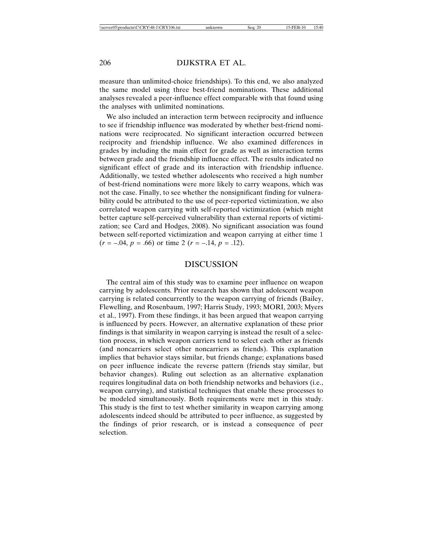measure than unlimited-choice friendships). To this end, we also analyzed the same model using three best-friend nominations. These additional analyses revealed a peer-influence effect comparable with that found using the analyses with unlimited nominations.

We also included an interaction term between reciprocity and influence to see if friendship influence was moderated by whether best-friend nominations were reciprocated. No significant interaction occurred between reciprocity and friendship influence. We also examined differences in grades by including the main effect for grade as well as interaction terms between grade and the friendship influence effect. The results indicated no significant effect of grade and its interaction with friendship influence. Additionally, we tested whether adolescents who received a high number of best-friend nominations were more likely to carry weapons, which was not the case. Finally, to see whether the nonsignificant finding for vulnerability could be attributed to the use of peer-reported victimization, we also correlated weapon carrying with self-reported victimization (which might better capture self-perceived vulnerability than external reports of victimization; see Card and Hodges, 2008). No significant association was found between self-reported victimization and weapon carrying at either time 1  $(r = -.04, p = .66)$  or time 2  $(r = -.14, p = .12)$ .

# DISCUSSION

The central aim of this study was to examine peer influence on weapon carrying by adolescents. Prior research has shown that adolescent weapon carrying is related concurrently to the weapon carrying of friends (Bailey, Flewelling, and Rosenbaum, 1997; Harris Study, 1993; MORI, 2003; Myers et al., 1997). From these findings, it has been argued that weapon carrying is influenced by peers. However, an alternative explanation of these prior findings is that similarity in weapon carrying is instead the result of a selection process, in which weapon carriers tend to select each other as friends (and noncarriers select other noncarriers as friends). This explanation implies that behavior stays similar, but friends change; explanations based on peer influence indicate the reverse pattern (friends stay similar, but behavior changes). Ruling out selection as an alternative explanation requires longitudinal data on both friendship networks and behaviors (i.e., weapon carrying), and statistical techniques that enable these processes to be modeled simultaneously. Both requirements were met in this study. This study is the first to test whether similarity in weapon carrying among adolescents indeed should be attributed to peer influence, as suggested by the findings of prior research, or is instead a consequence of peer selection.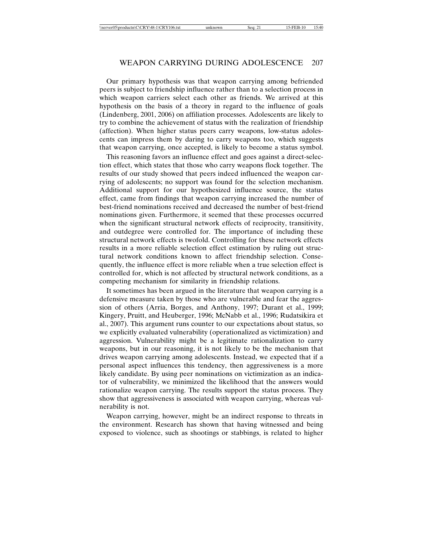Our primary hypothesis was that weapon carrying among befriended peers is subject to friendship influence rather than to a selection process in which weapon carriers select each other as friends. We arrived at this hypothesis on the basis of a theory in regard to the influence of goals (Lindenberg, 2001, 2006) on affiliation processes. Adolescents are likely to try to combine the achievement of status with the realization of friendship (affection). When higher status peers carry weapons, low-status adolescents can impress them by daring to carry weapons too, which suggests that weapon carrying, once accepted, is likely to become a status symbol.

This reasoning favors an influence effect and goes against a direct-selection effect, which states that those who carry weapons flock together. The results of our study showed that peers indeed influenced the weapon carrying of adolescents; no support was found for the selection mechanism. Additional support for our hypothesized influence source, the status effect, came from findings that weapon carrying increased the number of best-friend nominations received and decreased the number of best-friend nominations given. Furthermore, it seemed that these processes occurred when the significant structural network effects of reciprocity, transitivity, and outdegree were controlled for. The importance of including these structural network effects is twofold. Controlling for these network effects results in a more reliable selection effect estimation by ruling out structural network conditions known to affect friendship selection. Consequently, the influence effect is more reliable when a true selection effect is controlled for, which is not affected by structural network conditions, as a competing mechanism for similarity in friendship relations.

It sometimes has been argued in the literature that weapon carrying is a defensive measure taken by those who are vulnerable and fear the aggression of others (Arria, Borges, and Anthony, 1997; Durant et al., 1999; Kingery, Pruitt, and Heuberger, 1996; McNabb et al., 1996; Rudatsikira et al., 2007). This argument runs counter to our expectations about status, so we explicitly evaluated vulnerability (operationalized as victimization) and aggression. Vulnerability might be a legitimate rationalization to carry weapons, but in our reasoning, it is not likely to be the mechanism that drives weapon carrying among adolescents. Instead, we expected that if a personal aspect influences this tendency, then aggressiveness is a more likely candidate. By using peer nominations on victimization as an indicator of vulnerability, we minimized the likelihood that the answers would rationalize weapon carrying. The results support the status process. They show that aggressiveness is associated with weapon carrying, whereas vulnerability is not.

Weapon carrying, however, might be an indirect response to threats in the environment. Research has shown that having witnessed and being exposed to violence, such as shootings or stabbings, is related to higher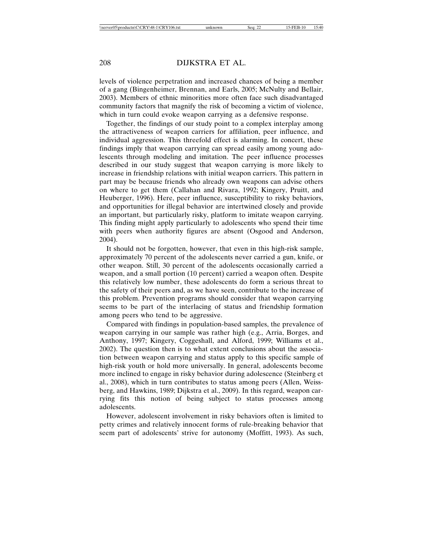levels of violence perpetration and increased chances of being a member of a gang (Bingenheimer, Brennan, and Earls, 2005; McNulty and Bellair, 2003). Members of ethnic minorities more often face such disadvantaged community factors that magnify the risk of becoming a victim of violence, which in turn could evoke weapon carrying as a defensive response.

Together, the findings of our study point to a complex interplay among the attractiveness of weapon carriers for affiliation, peer influence, and individual aggression. This threefold effect is alarming. In concert, these findings imply that weapon carrying can spread easily among young adolescents through modeling and imitation. The peer influence processes described in our study suggest that weapon carrying is more likely to increase in friendship relations with initial weapon carriers. This pattern in part may be because friends who already own weapons can advise others on where to get them (Callahan and Rivara, 1992; Kingery, Pruitt, and Heuberger, 1996). Here, peer influence, susceptibility to risky behaviors, and opportunities for illegal behavior are intertwined closely and provide an important, but particularly risky, platform to imitate weapon carrying. This finding might apply particularly to adolescents who spend their time with peers when authority figures are absent (Osgood and Anderson, 2004).

It should not be forgotten, however, that even in this high-risk sample, approximately 70 percent of the adolescents never carried a gun, knife, or other weapon. Still, 30 percent of the adolescents occasionally carried a weapon, and a small portion (10 percent) carried a weapon often. Despite this relatively low number, these adolescents do form a serious threat to the safety of their peers and, as we have seen, contribute to the increase of this problem. Prevention programs should consider that weapon carrying seems to be part of the interlacing of status and friendship formation among peers who tend to be aggressive.

Compared with findings in population-based samples, the prevalence of weapon carrying in our sample was rather high (e.g., Arria, Borges, and Anthony, 1997; Kingery, Coggeshall, and Alford, 1999; Williams et al., 2002). The question then is to what extent conclusions about the association between weapon carrying and status apply to this specific sample of high-risk youth or hold more universally. In general, adolescents become more inclined to engage in risky behavior during adolescence (Steinberg et al., 2008), which in turn contributes to status among peers (Allen, Weissberg, and Hawkins, 1989; Dijkstra et al., 2009). In this regard, weapon carrying fits this notion of being subject to status processes among adolescents.

However, adolescent involvement in risky behaviors often is limited to petty crimes and relatively innocent forms of rule-breaking behavior that seem part of adolescents' strive for autonomy (Moffitt, 1993). As such,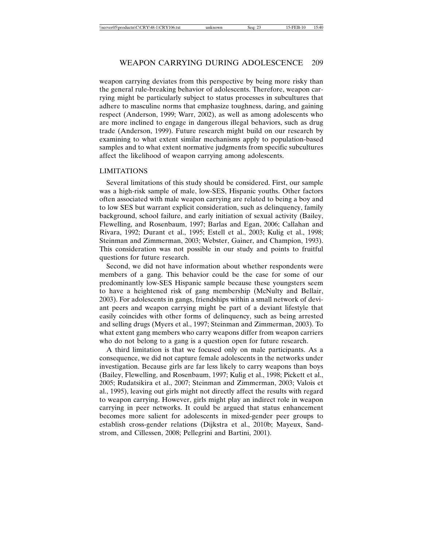weapon carrying deviates from this perspective by being more risky than the general rule-breaking behavior of adolescents. Therefore, weapon carrying might be particularly subject to status processes in subcultures that adhere to masculine norms that emphasize toughness, daring, and gaining respect (Anderson, 1999; Warr, 2002), as well as among adolescents who are more inclined to engage in dangerous illegal behaviors, such as drug trade (Anderson, 1999). Future research might build on our research by examining to what extent similar mechanisms apply to population-based samples and to what extent normative judgments from specific subcultures affect the likelihood of weapon carrying among adolescents.

## LIMITATIONS

Several limitations of this study should be considered. First, our sample was a high-risk sample of male, low-SES, Hispanic youths. Other factors often associated with male weapon carrying are related to being a boy and to low SES but warrant explicit consideration, such as delinquency, family background, school failure, and early initiation of sexual activity (Bailey, Flewelling, and Rosenbaum, 1997; Barlas and Egan, 2006; Callahan and Rivara, 1992; Durant et al., 1995; Estell et al., 2003; Kulig et al., 1998; Steinman and Zimmerman, 2003; Webster, Gainer, and Champion, 1993). This consideration was not possible in our study and points to fruitful questions for future research.

Second, we did not have information about whether respondents were members of a gang. This behavior could be the case for some of our predominantly low-SES Hispanic sample because these youngsters seem to have a heightened risk of gang membership (McNulty and Bellair, 2003). For adolescents in gangs, friendships within a small network of deviant peers and weapon carrying might be part of a deviant lifestyle that easily coincides with other forms of delinquency, such as being arrested and selling drugs (Myers et al., 1997; Steinman and Zimmerman, 2003). To what extent gang members who carry weapons differ from weapon carriers who do not belong to a gang is a question open for future research.

A third limitation is that we focused only on male participants. As a consequence, we did not capture female adolescents in the networks under investigation. Because girls are far less likely to carry weapons than boys (Bailey, Flewelling, and Rosenbaum, 1997; Kulig et al., 1998; Pickett et al., 2005; Rudatsikira et al., 2007; Steinman and Zimmerman, 2003; Valois et al., 1995), leaving out girls might not directly affect the results with regard to weapon carrying. However, girls might play an indirect role in weapon carrying in peer networks. It could be argued that status enhancement becomes more salient for adolescents in mixed-gender peer groups to establish cross-gender relations (Dijkstra et al., 2010b; Mayeux, Sandstrom, and Cillessen, 2008; Pellegrini and Bartini, 2001).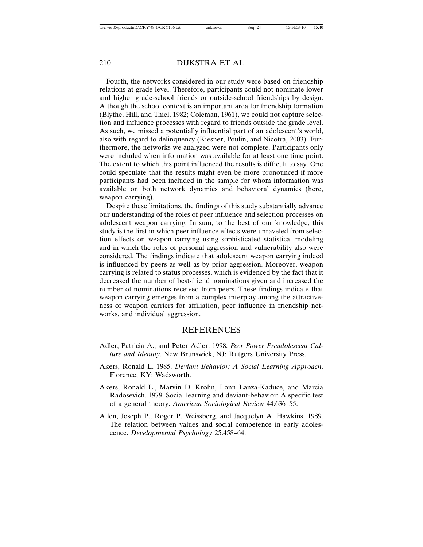Fourth, the networks considered in our study were based on friendship relations at grade level. Therefore, participants could not nominate lower and higher grade-school friends or outside-school friendships by design. Although the school context is an important area for friendship formation (Blythe, Hill, and Thiel, 1982; Coleman, 1961), we could not capture selection and influence processes with regard to friends outside the grade level. As such, we missed a potentially influential part of an adolescent's world, also with regard to delinquency (Kiesner, Poulin, and Nicotra, 2003). Furthermore, the networks we analyzed were not complete. Participants only were included when information was available for at least one time point. The extent to which this point influenced the results is difficult to say. One could speculate that the results might even be more pronounced if more participants had been included in the sample for whom information was available on both network dynamics and behavioral dynamics (here, weapon carrying).

Despite these limitations, the findings of this study substantially advance our understanding of the roles of peer influence and selection processes on adolescent weapon carrying. In sum, to the best of our knowledge, this study is the first in which peer influence effects were unraveled from selection effects on weapon carrying using sophisticated statistical modeling and in which the roles of personal aggression and vulnerability also were considered. The findings indicate that adolescent weapon carrying indeed is influenced by peers as well as by prior aggression. Moreover, weapon carrying is related to status processes, which is evidenced by the fact that it decreased the number of best-friend nominations given and increased the number of nominations received from peers. These findings indicate that weapon carrying emerges from a complex interplay among the attractiveness of weapon carriers for affiliation, peer influence in friendship networks, and individual aggression.

# REFERENCES

- Adler, Patricia A., and Peter Adler. 1998. *Peer Power Preadolescent Culture and Identity*. New Brunswick, NJ: Rutgers University Press.
- Akers, Ronald L. 1985. *Deviant Behavior: A Social Learning Approach*. Florence, KY: Wadsworth.
- Akers, Ronald L., Marvin D. Krohn, Lonn Lanza-Kaduce, and Marcia Radosevich. 1979. Social learning and deviant-behavior: A specific test of a general theory. *American Sociological Review* 44:636–55.
- Allen, Joseph P., Roger P. Weissberg, and Jacquelyn A. Hawkins. 1989. The relation between values and social competence in early adolescence. *Developmental Psychology* 25:458–64.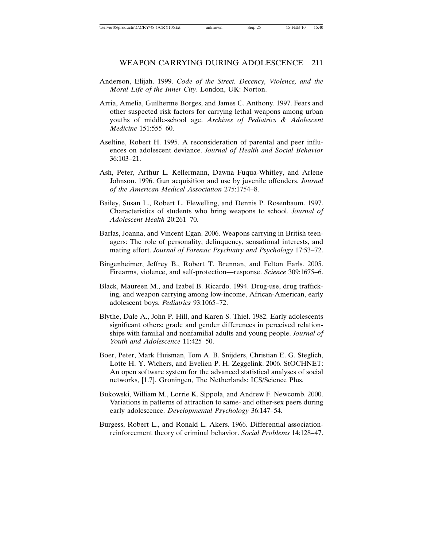- Anderson, Elijah. 1999. *Code of the Street. Decency, Violence, and the Moral Life of the Inner City*. London, UK: Norton.
- Arria, Amelia, Guilherme Borges, and James C. Anthony. 1997. Fears and other suspected risk factors for carrying lethal weapons among urban youths of middle-school age. *Archives of Pediatrics & Adolescent Medicine* 151:555–60.
- Aseltine, Robert H. 1995. A reconsideration of parental and peer influences on adolescent deviance. *Journal of Health and Social Behavior* 36:103–21.
- Ash, Peter, Arthur L. Kellermann, Dawna Fuqua-Whitley, and Arlene Johnson. 1996. Gun acquisition and use by juvenile offenders. *Journal of the American Medical Association* 275:1754–8.
- Bailey, Susan L., Robert L. Flewelling, and Dennis P. Rosenbaum. 1997. Characteristics of students who bring weapons to school. *Journal of Adolescent Health* 20:261–70.
- Barlas, Joanna, and Vincent Egan. 2006. Weapons carrying in British teenagers: The role of personality, delinquency, sensational interests, and mating effort. *Journal of Forensic Psychiatry and Psychology* 17:53–72.
- Bingenheimer, Jeffrey B., Robert T. Brennan, and Felton Earls. 2005. Firearms, violence, and self-protection—response. *Science* 309:1675–6.
- Black, Maureen M., and Izabel B. Ricardo. 1994. Drug-use, drug trafficking, and weapon carrying among low-income, African-American, early adolescent boys. *Pediatrics* 93:1065–72.
- Blythe, Dale A., John P. Hill, and Karen S. Thiel. 1982. Early adolescents significant others: grade and gender differences in perceived relationships with familial and nonfamilial adults and young people. *Journal of Youth and Adolescence* 11:425–50.
- Boer, Peter, Mark Huisman, Tom A. B. Snijders, Christian E. G. Steglich, Lotte H. Y. Wichers, and Evelien P. H. Zeggelink. 2006. StOCHNET: An open software system for the advanced statistical analyses of social networks, [1.7]. Groningen, The Netherlands: ICS/Science Plus.
- Bukowski, William M., Lorrie K. Sippola, and Andrew F. Newcomb. 2000. Variations in patterns of attraction to same- and other-sex peers during early adolescence. *Developmental Psychology* 36:147–54.
- Burgess, Robert L., and Ronald L. Akers. 1966. Differential associationreinforcement theory of criminal behavior. *Social Problems* 14:128–47.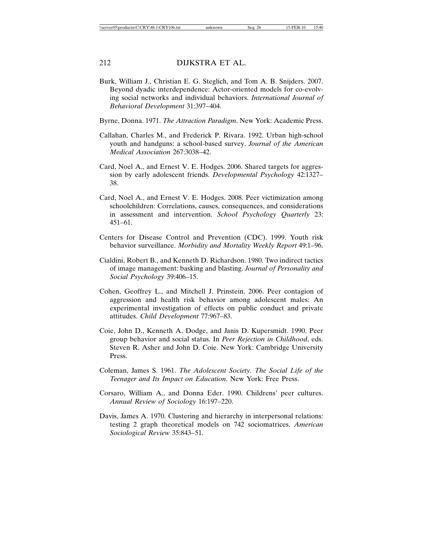- Burk, William J., Christian E. G. Steglich, and Tom A. B. Snijders. 2007. Beyond dyadic interdependence: Actor-oriented models for co-evolving social networks and individual behaviors. *International Journal of Behavioral Development* 31:397–404.
- Byrne, Donna. 1971. *The Attraction Paradigm*. New York: Academic Press.
- Callahan, Charles M., and Frederick P. Rivara. 1992. Urban high-school youth and handguns: a school-based survey. *Journal of the American Medical Association* 267:3038–42.
- Card, Noel A., and Ernest V. E. Hodges. 2006. Shared targets for aggression by early adolescent friends. *Developmental Psychology* 42:1327– 38.
- Card, Noel A., and Ernest V. E. Hodges. 2008. Peer victimization among schoolchildren: Correlations, causes, consequences, and considerations in assessment and intervention. *School Psychology Quarterly* 23: 451–61.
- Centers for Disease Control and Prevention (CDC). 1999. Youth risk behavior surveillance. *Morbidity and Mortality Weekly Report* 49:1–96.
- Cialdini, Robert B., and Kenneth D. Richardson. 1980. Two indirect tactics of image management: basking and blasting. *Journal of Personality and Social Psychology* 39:406–15.
- Cohen, Geoffrey L., and Mitchell J. Prinstein. 2006. Peer contagion of aggression and health risk behavior among adolescent males: An experimental investigation of effects on public conduct and private attitudes. *Child Development* 77:967–83.
- Coie, John D., Kenneth A. Dodge, and Janis D. Kupersmidt. 1990. Peer group behavior and social status. In *Peer Rejection in Childhood*, eds. Steven R. Asher and John D. Coie. New York: Cambridge University Press.
- Coleman, James S. 1961. *The Adolescent Society. The Social Life of the Teenager and Its Impact on Education*. New York: Free Press.
- Corsaro, William A., and Donna Eder. 1990. Childrens' peer cultures. *Annual Review of Sociology* 16:197–220.
- Davis, James A. 1970. Clustering and hierarchy in interpersonal relations: testing 2 graph theoretical models on 742 sociomatrices. *American Sociological Review* 35:843–51.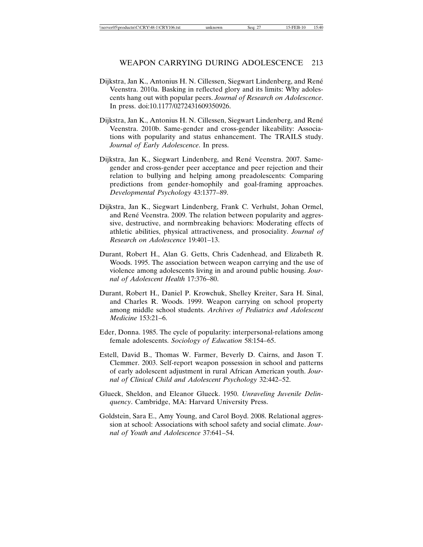\\server05\productn\C\CRY\48-1\CRY106.txt unknown Seq: 27 15-FEB-10 15:40

## WEAPON CARRYING DURING ADOLESCENCE 213

- Dijkstra, Jan K., Antonius H. N. Cillessen, Siegwart Lindenberg, and Ren´e Veenstra. 2010a. Basking in reflected glory and its limits: Why adolescents hang out with popular peers. *Journal of Research on Adolescence*. In press. doi:10.1177/0272431609350926.
- Dijkstra, Jan K., Antonius H. N. Cillessen, Siegwart Lindenberg, and Ren´e Veenstra. 2010b. Same-gender and cross-gender likeability: Associations with popularity and status enhancement. The TRAILS study. *Journal of Early Adolescence*. In press.
- Dijkstra, Jan K., Siegwart Lindenberg, and René Veenstra. 2007. Samegender and cross-gender peer acceptance and peer rejection and their relation to bullying and helping among preadolescents: Comparing predictions from gender-homophily and goal-framing approaches. *Developmental Psychology* 43:1377–89.
- Dijkstra, Jan K., Siegwart Lindenberg, Frank C. Verhulst, Johan Ormel, and René Veenstra. 2009. The relation between popularity and aggressive, destructive, and normbreaking behaviors: Moderating effects of athletic abilities, physical attractiveness, and prosociality. *Journal of Research on Adolescence* 19:401–13.
- Durant, Robert H., Alan G. Getts, Chris Cadenhead, and Elizabeth R. Woods. 1995. The association between weapon carrying and the use of violence among adolescents living in and around public housing. *Journal of Adolescent Health* 17:376–80.
- Durant, Robert H., Daniel P. Krowchuk, Shelley Kreiter, Sara H. Sinal, and Charles R. Woods. 1999. Weapon carrying on school property among middle school students. *Archives of Pediatrics and Adolescent Medicine* 153:21–6.
- Eder, Donna. 1985. The cycle of popularity: interpersonal-relations among female adolescents. *Sociology of Education* 58:154–65.
- Estell, David B., Thomas W. Farmer, Beverly D. Cairns, and Jason T. Clemmer. 2003. Self-report weapon possession in school and patterns of early adolescent adjustment in rural African American youth. *Journal of Clinical Child and Adolescent Psychology* 32:442–52.
- Glueck, Sheldon, and Eleanor Glueck. 1950. *Unraveling Juvenile Delinquency*. Cambridge, MA: Harvard University Press.
- Goldstein, Sara E., Amy Young, and Carol Boyd. 2008. Relational aggression at school: Associations with school safety and social climate. *Journal of Youth and Adolescence* 37:641–54.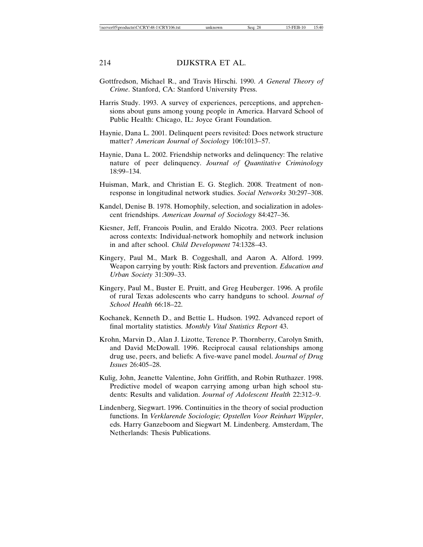- Gottfredson, Michael R., and Travis Hirschi. 1990. *A General Theory of Crime*. Stanford, CA: Stanford University Press.
- Harris Study. 1993. A survey of experiences, perceptions, and apprehensions about guns among young people in America. Harvard School of Public Health: Chicago, IL: Joyce Grant Foundation.
- Haynie, Dana L. 2001. Delinquent peers revisited: Does network structure matter? *American Journal of Sociology* 106:1013–57.
- Haynie, Dana L. 2002. Friendship networks and delinquency: The relative nature of peer delinquency. *Journal of Quantitative Criminology* 18:99–134.
- Huisman, Mark, and Christian E. G. Steglich. 2008. Treatment of nonresponse in longitudinal network studies. *Social Networks* 30:297–308.
- Kandel, Denise B. 1978. Homophily, selection, and socialization in adolescent friendships. *American Journal of Sociology* 84:427–36.
- Kiesner, Jeff, Francois Poulin, and Eraldo Nicotra. 2003. Peer relations across contexts: Individual-network homophily and network inclusion in and after school. *Child Development* 74:1328–43.
- Kingery, Paul M., Mark B. Coggeshall, and Aaron A. Alford. 1999. Weapon carrying by youth: Risk factors and prevention. *Education and Urban Society* 31:309–33.
- Kingery, Paul M., Buster E. Pruitt, and Greg Heuberger. 1996. A profile of rural Texas adolescents who carry handguns to school. *Journal of School Health* 66:18–22.
- Kochanek, Kenneth D., and Bettie L. Hudson. 1992. Advanced report of final mortality statistics. *Monthly Vital Statistics Report* 43.
- Krohn, Marvin D., Alan J. Lizotte, Terence P. Thornberry, Carolyn Smith, and David McDowall. 1996. Reciprocal causal relationships among drug use, peers, and beliefs: A five-wave panel model. *Journal of Drug Issues* 26:405–28.
- Kulig, John, Jeanette Valentine, John Griffith, and Robin Ruthazer. 1998. Predictive model of weapon carrying among urban high school students: Results and validation. *Journal of Adolescent Health* 22:312–9.
- Lindenberg, Siegwart. 1996. Continuities in the theory of social production functions. In *Verklarende Sociologie; Opstellen Voor Reinhart Wippler*, eds. Harry Ganzeboom and Siegwart M. Lindenberg. Amsterdam, The Netherlands: Thesis Publications.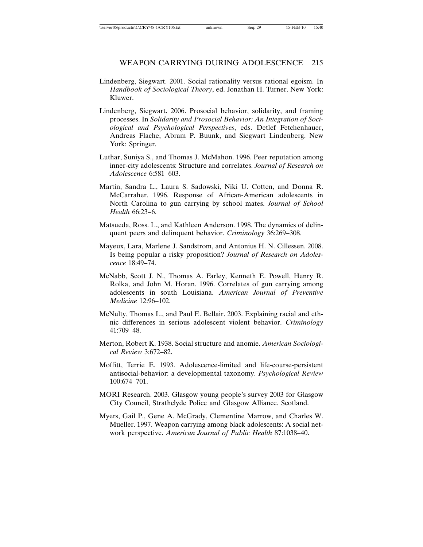\\server05\productn\C\CRY\48-1\CRY106.txt unknown Seq: 29 15-FEB-10 15:40

# WEAPON CARRYING DURING ADOLESCENCE 215

- Lindenberg, Siegwart. 2001. Social rationality versus rational egoism. In *Handbook of Sociological Theory*, ed. Jonathan H. Turner. New York: Kluwer.
- Lindenberg, Siegwart. 2006. Prosocial behavior, solidarity, and framing processes. In *Solidarity and Prosocial Behavior: An Integration of Sociological and Psychological Perspectives*, eds. Detlef Fetchenhauer, Andreas Flache, Abram P. Buunk, and Siegwart Lindenberg. New York: Springer.
- Luthar, Suniya S., and Thomas J. McMahon. 1996. Peer reputation among inner-city adolescents: Structure and correlates. *Journal of Research on Adolescence* 6:581–603.
- Martin, Sandra L., Laura S. Sadowski, Niki U. Cotten, and Donna R. McCarraher. 1996. Response of African-American adolescents in North Carolina to gun carrying by school mates. *Journal of School Health* 66:23–6.
- Matsueda, Ross. L., and Kathleen Anderson. 1998. The dynamics of delinquent peers and delinquent behavior. *Criminology* 36:269–308.
- Mayeux, Lara, Marlene J. Sandstrom, and Antonius H. N. Cillessen. 2008. Is being popular a risky proposition? *Journal of Research on Adolescence* 18:49–74.
- McNabb, Scott J. N., Thomas A. Farley, Kenneth E. Powell, Henry R. Rolka, and John M. Horan. 1996. Correlates of gun carrying among adolescents in south Louisiana. *American Journal of Preventive Medicine* 12:96–102.
- McNulty, Thomas L., and Paul E. Bellair. 2003. Explaining racial and ethnic differences in serious adolescent violent behavior. *Criminology* 41:709–48.
- Merton, Robert K. 1938. Social structure and anomie. *American Sociological Review* 3:672–82.
- Moffitt, Terrie E. 1993. Adolescence-limited and life-course-persistent antisocial-behavior: a developmental taxonomy. *Psychological Review* 100:674–701.
- MORI Research. 2003. Glasgow young people's survey 2003 for Glasgow City Council, Strathclyde Police and Glasgow Alliance. Scotland.
- Myers, Gail P., Gene A. McGrady, Clementine Marrow, and Charles W. Mueller. 1997. Weapon carrying among black adolescents: A social network perspective. *American Journal of Public Health* 87:1038–40.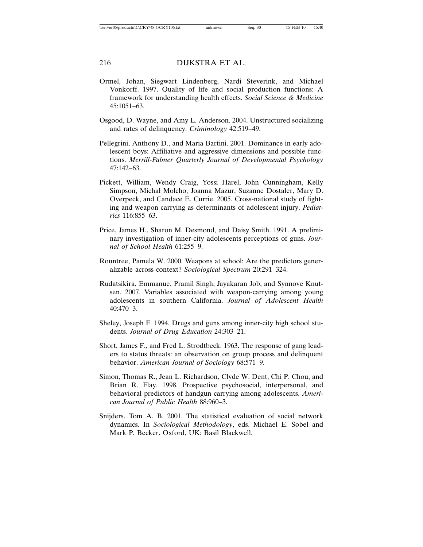- Ormel, Johan, Siegwart Lindenberg, Nardi Steverink, and Michael Vonkorff. 1997. Quality of life and social production functions: A framework for understanding health effects. *Social Science & Medicine* 45:1051–63.
- Osgood, D. Wayne, and Amy L. Anderson. 2004. Unstructured socializing and rates of delinquency. *Criminology* 42:519–49.
- Pellegrini, Anthony D., and Maria Bartini. 2001. Dominance in early adolescent boys: Affiliative and aggressive dimensions and possible functions. *Merrill-Palmer Quarterly Journal of Developmental Psychology* 47:142–63.
- Pickett, William, Wendy Craig, Yossi Harel, John Cunningham, Kelly Simpson, Michal Molcho, Joanna Mazur, Suzanne Dostaler, Mary D. Overpeck, and Candace E. Currie. 2005. Cross-national study of fighting and weapon carrying as determinants of adolescent injury. *Pediatrics* 116:855–63.
- Price, James H., Sharon M. Desmond, and Daisy Smith. 1991. A preliminary investigation of inner-city adolescents perceptions of guns. *Journal of School Health* 61:255–9.
- Rountree, Pamela W. 2000. Weapons at school: Are the predictors generalizable across context? *Sociological Spectrum* 20:291–324.
- Rudatsikira, Emmanue, Pramil Singh, Jayakaran Job, and Synnove Knutsen. 2007. Variables associated with weapon-carrying among young adolescents in southern California. *Journal of Adolescent Health* 40:470–3.
- Sheley, Joseph F. 1994. Drugs and guns among inner-city high school students. *Journal of Drug Education* 24:303–21.
- Short, James F., and Fred L. Strodtbeck. 1963. The response of gang leaders to status threats: an observation on group process and delinquent behavior. *American Journal of Sociology* 68:571–9.
- Simon, Thomas R., Jean L. Richardson, Clyde W. Dent, Chi P. Chou, and Brian R. Flay. 1998. Prospective psychosocial, interpersonal, and behavioral predictors of handgun carrying among adolescents. *American Journal of Public Health* 88:960–3.
- Snijders, Tom A. B. 2001. The statistical evaluation of social network dynamics. In *Sociological Methodology*, eds. Michael E. Sobel and Mark P. Becker. Oxford, UK: Basil Blackwell.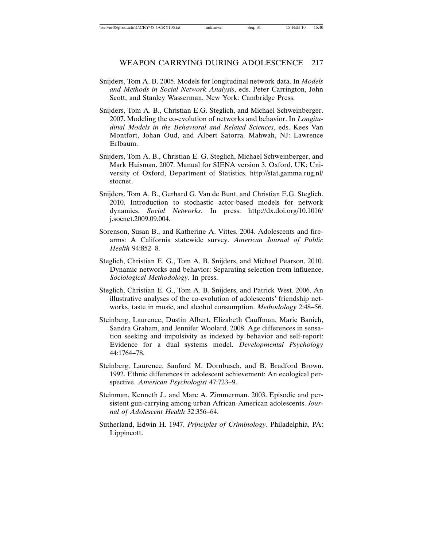- Snijders, Tom A. B. 2005. Models for longitudinal network data. In *Models and Methods in Social Network Analysis*, eds. Peter Carrington, John Scott, and Stanley Wasserman. New York: Cambridge Press.
- Snijders, Tom A. B., Christian E.G. Steglich, and Michael Schweinberger. 2007. Modeling the co-evolution of networks and behavior. In *Longitudinal Models in the Behavioral and Related Sciences*, eds. Kees Van Montfort, Johan Oud, and Albert Satorra. Mahwah, NJ: Lawrence Erlbaum.
- Snijders, Tom A. B., Christian E. G. Steglich, Michael Schweinberger, and Mark Huisman. 2007. Manual for SIENA version 3. Oxford, UK: University of Oxford, Department of Statistics. http://stat.gamma.rug.nl/ stocnet.
- Snijders, Tom A. B., Gerhard G. Van de Bunt, and Christian E.G. Steglich. 2010. Introduction to stochastic actor-based models for network dynamics. *Social Networks*. In press. http://dx.doi.org/10.1016/ j.socnet.2009.09.004.
- Sorenson, Susan B., and Katherine A. Vittes. 2004. Adolescents and firearms: A California statewide survey. *American Journal of Public Health* 94:852–8.
- Steglich, Christian E. G., Tom A. B. Snijders, and Michael Pearson. 2010. Dynamic networks and behavior: Separating selection from influence. *Sociological Methodology*. In press.
- Steglich, Christian E. G., Tom A. B. Snijders, and Patrick West. 2006. An illustrative analyses of the co-evolution of adolescents' friendship networks, taste in music, and alcohol consumption. *Methodology* 2:48–56.
- Steinberg, Laurence, Dustin Albert, Elizabeth Cauffman, Marie Banich, Sandra Graham, and Jennifer Woolard. 2008. Age differences in sensation seeking and impulsivity as indexed by behavior and self-report: Evidence for a dual systems model. *Developmental Psychology* 44:1764–78.
- Steinberg, Laurence, Sanford M. Dornbusch, and B. Bradford Brown. 1992. Ethnic differences in adolescent achievement: An ecological perspective. *American Psychologist* 47:723–9.
- Steinman, Kenneth J., and Marc A. Zimmerman. 2003. Episodic and persistent gun-carrying among urban African-American adolescents. *Journal of Adolescent Health* 32:356–64.
- Sutherland, Edwin H. 1947. *Principles of Criminology*. Philadelphia, PA: Lippincott.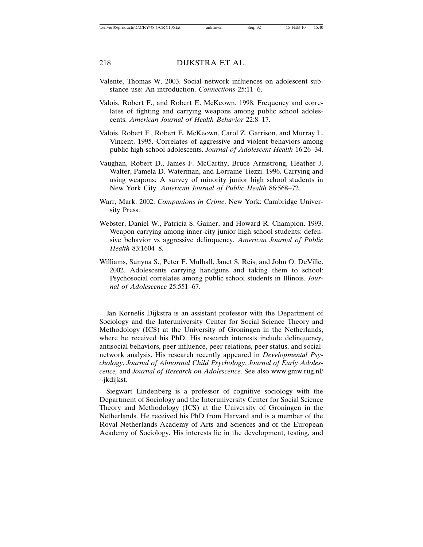- Valente, Thomas W. 2003. Social network influences on adolescent substance use: An introduction. *Connections* 25:11–6.
- Valois, Robert F., and Robert E. McKeown. 1998. Frequency and correlates of fighting and carrying weapons among public school adolescents. *American Journal of Health Behavior* 22:8–17.
- Valois, Robert F., Robert E. McKeown, Carol Z. Garrison, and Murray L. Vincent. 1995. Correlates of aggressive and violent behaviors among public high-school adolescents. *Journal of Adolescent Health* 16:26–34.
- Vaughan, Robert D., James F. McCarthy, Bruce Armstrong, Heather J. Walter, Pamela D. Waterman, and Lorraine Tiezzi. 1996. Carrying and using weapons: A survey of minority junior high school students in New York City. *American Journal of Public Health* 86:568–72.
- Warr, Mark. 2002. *Companions in Crime*. New York: Cambridge University Press.
- Webster, Daniel W., Patricia S. Gainer, and Howard R. Champion. 1993. Weapon carrying among inner-city junior high school students: defensive behavior vs aggressive delinquency. *American Journal of Public Health* 83:1604–8.
- Williams, Sunyna S., Peter F. Mulhall, Janet S. Reis, and John O. DeVille. 2002. Adolescents carrying handguns and taking them to school: Psychosocial correlates among public school students in Illinois. *Journal of Adolescence* 25:551–67.

Jan Kornelis Dijkstra is an assistant professor with the Department of Sociology and the Interuniversity Center for Social Science Theory and Methodology (ICS) at the University of Groningen in the Netherlands, where he received his PhD. His research interests include delinquency, antisocial behaviors, peer influence, peer relations, peer status, and socialnetwork analysis. His research recently appeared in *Developmental Psychology*, *Journal of Abnormal Child Psychology*, *Journal of Early Adolescence,* and *Journal of Research on Adolescence*. See also www.gmw.rug.nl/ ~jkdijkst.

Siegwart Lindenberg is a professor of cognitive sociology with the Department of Sociology and the Interuniversity Center for Social Science Theory and Methodology (ICS) at the University of Groningen in the Netherlands. He received his PhD from Harvard and is a member of the Royal Netherlands Academy of Arts and Sciences and of the European Academy of Sociology. His interests lie in the development, testing, and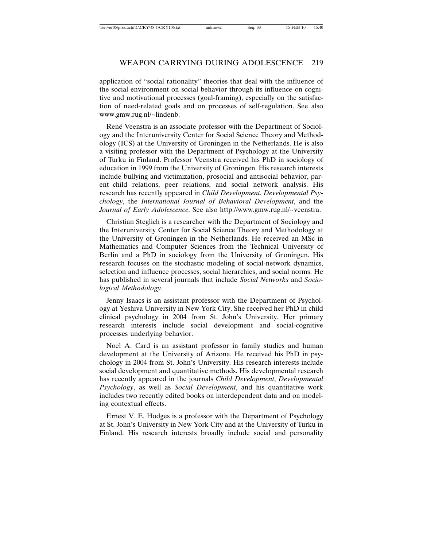application of "social rationality" theories that deal with the influence of the social environment on social behavior through its influence on cognitive and motivational processes (goal-framing), especially on the satisfaction of need-related goals and on processes of self-regulation. See also www.gmw.rug.nl/~lindenb.

René Veenstra is an associate professor with the Department of Sociology and the Interuniversity Center for Social Science Theory and Methodology (ICS) at the University of Groningen in the Netherlands. He is also a visiting professor with the Department of Psychology at the University of Turku in Finland. Professor Veenstra received his PhD in sociology of education in 1999 from the University of Groningen. His research interests include bullying and victimization, prosocial and antisocial behavior, parent–child relations, peer relations, and social network analysis. His research has recently appeared in *Child Development*, *Developmental Psychology*, the *International Journal of Behavioral Development*, and the *Journal of Early Adolescence*. See also http://www.gmw.rug.nl/~veenstra.

Christian Steglich is a researcher with the Department of Sociology and the Interuniversity Center for Social Science Theory and Methodology at the University of Groningen in the Netherlands. He received an MSc in Mathematics and Computer Sciences from the Technical University of Berlin and a PhD in sociology from the University of Groningen. His research focuses on the stochastic modeling of social-network dynamics, selection and influence processes, social hierarchies, and social norms. He has published in several journals that include *Social Networks* and *Sociological Methodology*.

Jenny Isaacs is an assistant professor with the Department of Psychology at Yeshiva University in New York City. She received her PhD in child clinical psychology in 2004 from St. John's University. Her primary research interests include social development and social-cognitive processes underlying behavior.

Noel A. Card is an assistant professor in family studies and human development at the University of Arizona. He received his PhD in psychology in 2004 from St. John's University. His research interests include social development and quantitative methods. His developmental research has recently appeared in the journals *Child Development*, *Developmental Psychology*, as well as *Social Development*, and his quantitative work includes two recently edited books on interdependent data and on modeling contextual effects.

Ernest V. E. Hodges is a professor with the Department of Psychology at St. John's University in New York City and at the University of Turku in Finland. His research interests broadly include social and personality